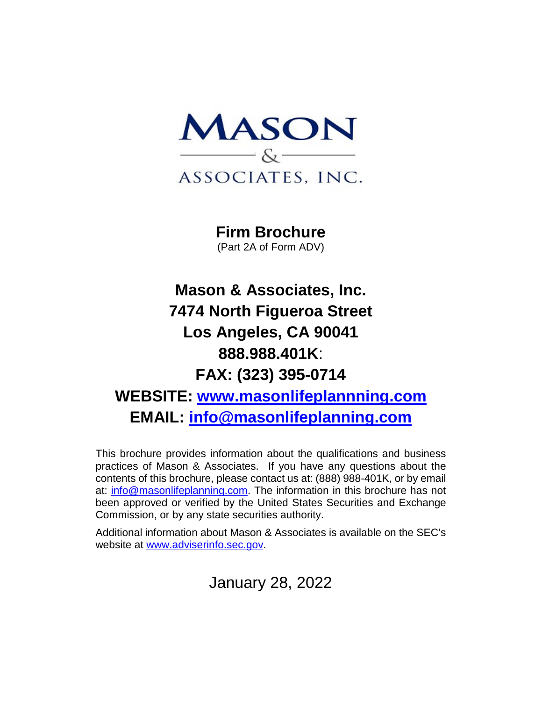

**Firm Brochure** (Part 2A of Form ADV)

# **Mason & Associates, Inc. 7474 North Figueroa Street Los Angeles, CA 90041 888.988.401K**: **FAX: (323) 395-0714 WEBSITE: [www.masonlifeplannning.com](http://www.masonlifeplannning.com/) EMAIL: [info@masonlifeplanning.com](mailto:info@masonlifeplanning.com)**

This brochure provides information about the qualifications and business practices of Mason & Associates. If you have any questions about the contents of this brochure, please contact us at: (888) 988-401K, or by email at: [info@masonlifeplanning.com.](mailto:info@masonlifeplanning.com) The information in this brochure has not been approved or verified by the United States Securities and Exchange Commission, or by any state securities authority.

Additional information about Mason & Associates is available on the SEC's website at [www.adviserinfo.sec.gov.](http://www.adviserinfo.sec.gov/)

January 28, 2022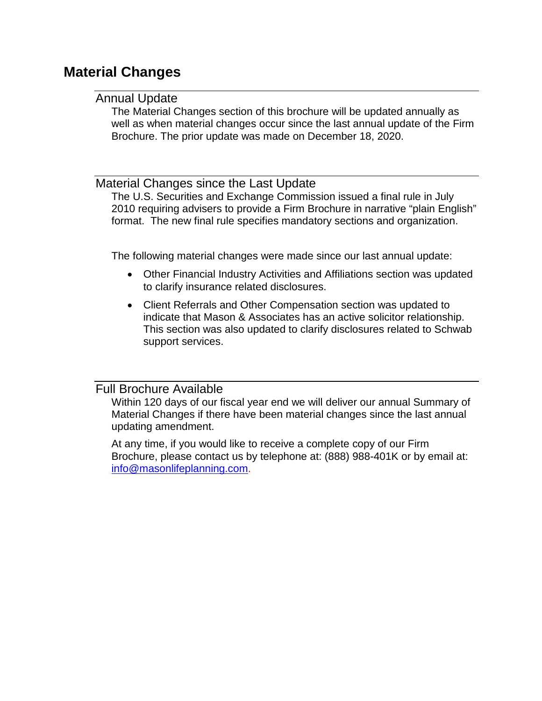## <span id="page-1-1"></span><span id="page-1-0"></span>**Material Changes**

### Annual Update

The Material Changes section of this brochure will be updated annually as well as when material changes occur since the last annual update of the Firm Brochure. The prior update was made on December 18, 2020.

### <span id="page-1-2"></span>Material Changes since the Last Update

The U.S. Securities and Exchange Commission issued a final rule in July 2010 requiring advisers to provide a Firm Brochure in narrative "plain English" format. The new final rule specifies mandatory sections and organization.

The following material changes were made since our last annual update:

- Other Financial Industry Activities and Affiliations section was updated to clarify insurance related disclosures.
- Client Referrals and Other Compensation section was updated to indicate that Mason & Associates has an active solicitor relationship. This section was also updated to clarify disclosures related to Schwab support services.

### <span id="page-1-3"></span>Full Brochure Available

Within 120 days of our fiscal year end we will deliver our annual Summary of Material Changes if there have been material changes since the last annual updating amendment.

At any time, if you would like to receive a complete copy of our Firm Brochure, please contact us by telephone at: (888) 988-401K or by email at: [info@masonlifeplanning.com.](mailto:info@masonlifeplanning.com)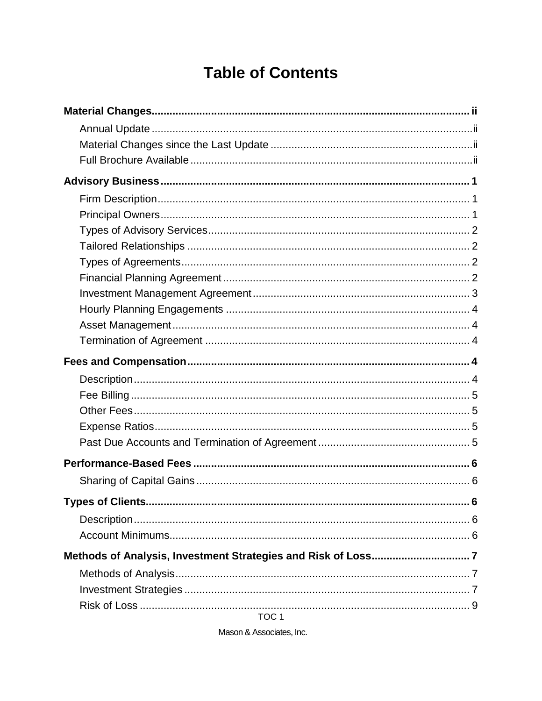# **Table of Contents**

TOC<sub>1</sub>

Mason & Associates, Inc.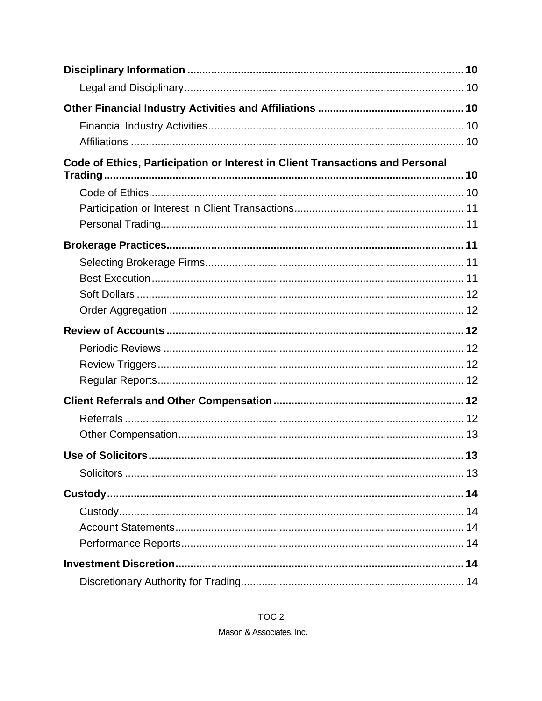| Code of Ethics, Participation or Interest in Client Transactions and Personal |  |
|-------------------------------------------------------------------------------|--|
|                                                                               |  |
|                                                                               |  |
|                                                                               |  |
|                                                                               |  |
|                                                                               |  |
|                                                                               |  |
|                                                                               |  |
|                                                                               |  |
|                                                                               |  |
|                                                                               |  |
|                                                                               |  |
|                                                                               |  |
|                                                                               |  |
|                                                                               |  |
|                                                                               |  |
|                                                                               |  |
|                                                                               |  |
|                                                                               |  |
|                                                                               |  |
|                                                                               |  |
|                                                                               |  |
|                                                                               |  |
|                                                                               |  |

TOC<sub>2</sub> Mason & Associates, Inc.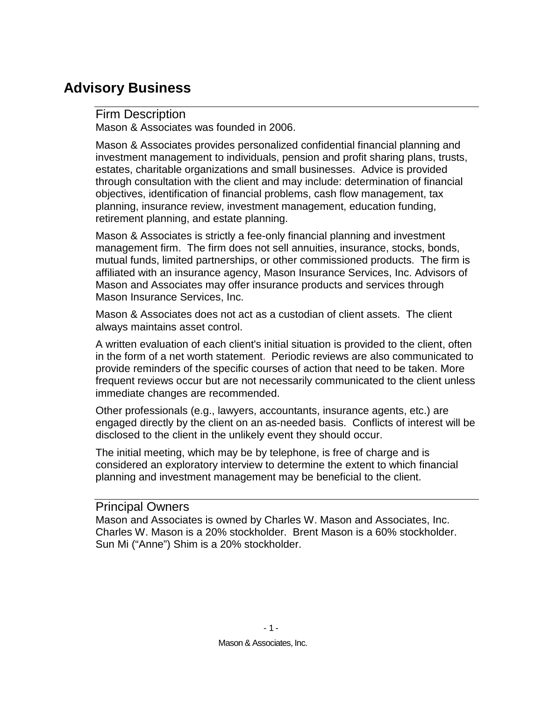## <span id="page-5-1"></span><span id="page-5-0"></span>**Advisory Business**

### Firm Description

Mason & Associates was founded in 2006.

Mason & Associates provides personalized confidential financial planning and investment management to individuals, pension and profit sharing plans, trusts, estates, charitable organizations and small businesses. Advice is provided through consultation with the client and may include: determination of financial objectives, identification of financial problems, cash flow management, tax planning, insurance review, investment management, education funding, retirement planning, and estate planning.

Mason & Associates is strictly a fee-only financial planning and investment management firm. The firm does not sell annuities, insurance, stocks, bonds, mutual funds, limited partnerships, or other commissioned products. The firm is affiliated with an insurance agency, Mason Insurance Services, Inc. Advisors of Mason and Associates may offer insurance products and services through Mason Insurance Services, Inc.

Mason & Associates does not act as a custodian of client assets. The client always maintains asset control.

A written evaluation of each client's initial situation is provided to the client, often in the form of a net worth statement. Periodic reviews are also communicated to provide reminders of the specific courses of action that need to be taken. More frequent reviews occur but are not necessarily communicated to the client unless immediate changes are recommended.

Other professionals (e.g., lawyers, accountants, insurance agents, etc.) are engaged directly by the client on an as-needed basis. Conflicts of interest will be disclosed to the client in the unlikely event they should occur.

The initial meeting, which may be by telephone, is free of charge and is considered an exploratory interview to determine the extent to which financial planning and investment management may be beneficial to the client.

### <span id="page-5-2"></span>Principal Owners

Mason and Associates is owned by Charles W. Mason and Associates, Inc. Charles W. Mason is a 20% stockholder. Brent Mason is a 60% stockholder. Sun Mi ("Anne") Shim is a 20% stockholder.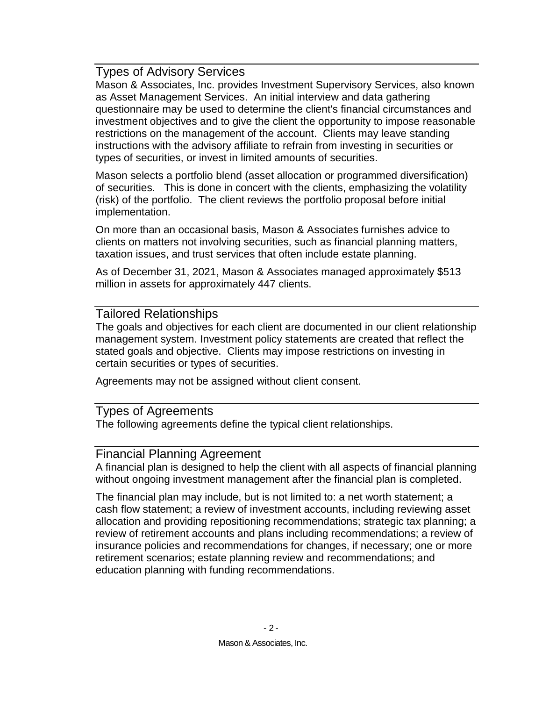### <span id="page-6-0"></span>Types of Advisory Services

Mason & Associates, Inc. provides Investment Supervisory Services, also known as Asset Management Services. An initial interview and data gathering questionnaire may be used to determine the client's financial circumstances and investment objectives and to give the client the opportunity to impose reasonable restrictions on the management of the account. Clients may leave standing instructions with the advisory affiliate to refrain from investing in securities or types of securities, or invest in limited amounts of securities.

Mason selects a portfolio blend (asset allocation or programmed diversification) of securities. This is done in concert with the clients, emphasizing the volatility (risk) of the portfolio. The client reviews the portfolio proposal before initial implementation.

On more than an occasional basis, Mason & Associates furnishes advice to clients on matters not involving securities, such as financial planning matters, taxation issues, and trust services that often include estate planning.

As of December 31, 2021, Mason & Associates managed approximately \$513 million in assets for approximately 447 clients.

### <span id="page-6-1"></span>Tailored Relationships

The goals and objectives for each client are documented in our client relationship management system. Investment policy statements are created that reflect the stated goals and objective. Clients may impose restrictions on investing in certain securities or types of securities.

Agreements may not be assigned without client consent.

### <span id="page-6-2"></span>Types of Agreements

The following agreements define the typical client relationships.

### <span id="page-6-3"></span>Financial Planning Agreement

A financial plan is designed to help the client with all aspects of financial planning without ongoing investment management after the financial plan is completed.

The financial plan may include, but is not limited to: a net worth statement; a cash flow statement; a review of investment accounts, including reviewing asset allocation and providing repositioning recommendations; strategic tax planning; a review of retirement accounts and plans including recommendations; a review of insurance policies and recommendations for changes, if necessary; one or more retirement scenarios; estate planning review and recommendations; and education planning with funding recommendations.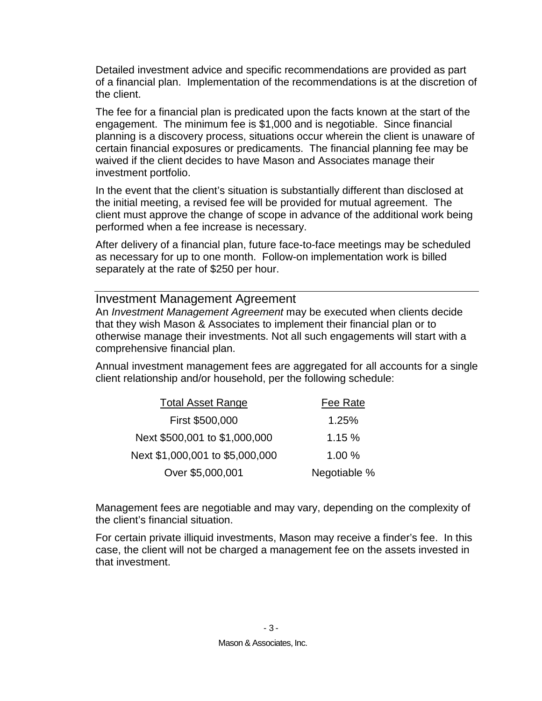Detailed investment advice and specific recommendations are provided as part of a financial plan. Implementation of the recommendations is at the discretion of the client.

The fee for a financial plan is predicated upon the facts known at the start of the engagement. The minimum fee is \$1,000 and is negotiable. Since financial planning is a discovery process, situations occur wherein the client is unaware of certain financial exposures or predicaments. The financial planning fee may be waived if the client decides to have Mason and Associates manage their investment portfolio.

In the event that the client's situation is substantially different than disclosed at the initial meeting, a revised fee will be provided for mutual agreement. The client must approve the change of scope in advance of the additional work being performed when a fee increase is necessary.

After delivery of a financial plan, future face-to-face meetings may be scheduled as necessary for up to one month. Follow-on implementation work is billed separately at the rate of \$250 per hour.

#### <span id="page-7-0"></span>Investment Management Agreement

An *Investment Management Agreement* may be executed when clients decide that they wish Mason & Associates to implement their financial plan or to otherwise manage their investments. Not all such engagements will start with a comprehensive financial plan.

Annual investment management fees are aggregated for all accounts for a single client relationship and/or household, per the following schedule:

| <b>Total Asset Range</b>        | Fee Rate     |
|---------------------------------|--------------|
| First \$500,000                 | 1.25%        |
| Next \$500,001 to \$1,000,000   | 1.15%        |
| Next \$1,000,001 to \$5,000,000 | 1.00%        |
| Over \$5,000,001                | Negotiable % |

Management fees are negotiable and may vary, depending on the complexity of the client's financial situation.

For certain private illiquid investments, Mason may receive a finder's fee. In this case, the client will not be charged a management fee on the assets invested in that investment.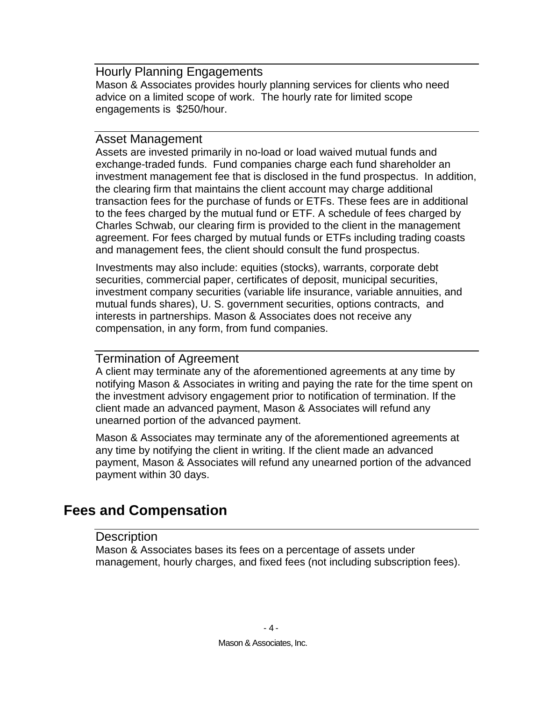### <span id="page-8-0"></span>Hourly Planning Engagements

Mason & Associates provides hourly planning services for clients who need advice on a limited scope of work. The hourly rate for limited scope engagements is \$250/hour.

### <span id="page-8-1"></span>Asset Management

Assets are invested primarily in no-load or load waived mutual funds and exchange-traded funds. Fund companies charge each fund shareholder an investment management fee that is disclosed in the fund prospectus. In addition, the clearing firm that maintains the client account may charge additional transaction fees for the purchase of funds or ETFs. These fees are in additional to the fees charged by the mutual fund or ETF. A schedule of fees charged by Charles Schwab, our clearing firm is provided to the client in the management agreement. For fees charged by mutual funds or ETFs including trading coasts and management fees, the client should consult the fund prospectus.

Investments may also include: equities (stocks), warrants, corporate debt securities, commercial paper, certificates of deposit, municipal securities, investment company securities (variable life insurance, variable annuities, and mutual funds shares), U. S. government securities, options contracts, and interests in partnerships. Mason & Associates does not receive any compensation, in any form, from fund companies.

### <span id="page-8-2"></span>Termination of Agreement

A client may terminate any of the aforementioned agreements at any time by notifying Mason & Associates in writing and paying the rate for the time spent on the investment advisory engagement prior to notification of termination. If the client made an advanced payment, Mason & Associates will refund any unearned portion of the advanced payment.

Mason & Associates may terminate any of the aforementioned agreements at any time by notifying the client in writing. If the client made an advanced payment, Mason & Associates will refund any unearned portion of the advanced payment within 30 days.

## <span id="page-8-4"></span><span id="page-8-3"></span>**Fees and Compensation**

### **Description**

Mason & Associates bases its fees on a percentage of assets under management, hourly charges, and fixed fees (not including subscription fees).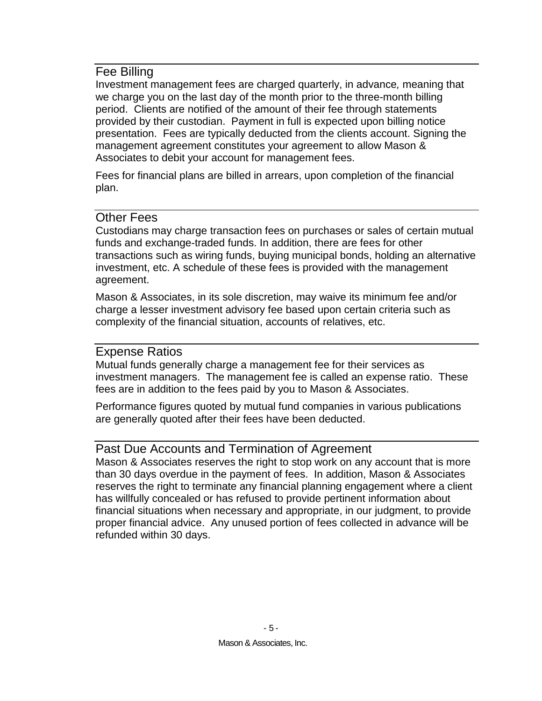### <span id="page-9-0"></span>Fee Billing

Investment management fees are charged quarterly, in advance*,* meaning that we charge you on the last day of the month prior to the three-month billing period. Clients are notified of the amount of their fee through statements provided by their custodian. Payment in full is expected upon billing notice presentation. Fees are typically deducted from the clients account. Signing the management agreement constitutes your agreement to allow Mason & Associates to debit your account for management fees.

Fees for financial plans are billed in arrears, upon completion of the financial plan.

### <span id="page-9-1"></span>Other Fees

Custodians may charge transaction fees on purchases or sales of certain mutual funds and exchange-traded funds. In addition, there are fees for other transactions such as wiring funds, buying municipal bonds, holding an alternative investment, etc. A schedule of these fees is provided with the management agreement.

Mason & Associates, in its sole discretion, may waive its minimum fee and/or charge a lesser investment advisory fee based upon certain criteria such as complexity of the financial situation, accounts of relatives, etc.

### <span id="page-9-2"></span>Expense Ratios

Mutual funds generally charge a management fee for their services as investment managers. The management fee is called an expense ratio. These fees are in addition to the fees paid by you to Mason & Associates.

Performance figures quoted by mutual fund companies in various publications are generally quoted after their fees have been deducted.

### <span id="page-9-3"></span>Past Due Accounts and Termination of Agreement

Mason & Associates reserves the right to stop work on any account that is more than 30 days overdue in the payment of fees. In addition, Mason & Associates reserves the right to terminate any financial planning engagement where a client has willfully concealed or has refused to provide pertinent information about financial situations when necessary and appropriate, in our judgment, to provide proper financial advice. Any unused portion of fees collected in advance will be refunded within 30 days.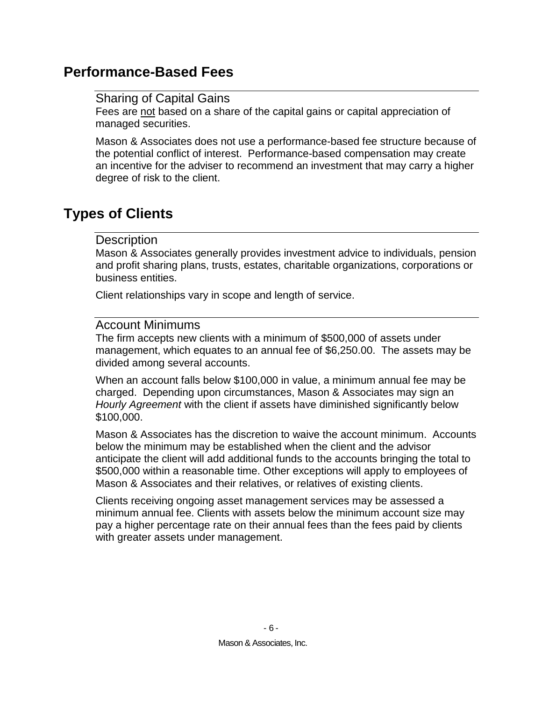## <span id="page-10-1"></span><span id="page-10-0"></span>**Performance-Based Fees**

### Sharing of Capital Gains

Fees are not based on a share of the capital gains or capital appreciation of managed securities.

Mason & Associates does not use a performance-based fee structure because of the potential conflict of interest. Performance-based compensation may create an incentive for the adviser to recommend an investment that may carry a higher degree of risk to the client.

## <span id="page-10-3"></span><span id="page-10-2"></span>**Types of Clients**

### **Description**

Mason & Associates generally provides investment advice to individuals, pension and profit sharing plans, trusts, estates, charitable organizations, corporations or business entities.

Client relationships vary in scope and length of service.

### <span id="page-10-4"></span>Account Minimums

The firm accepts new clients with a minimum of \$500,000 of assets under management, which equates to an annual fee of \$6,250.00. The assets may be divided among several accounts.

When an account falls below \$100,000 in value, a minimum annual fee may be charged. Depending upon circumstances, Mason & Associates may sign an *Hourly Agreement* with the client if assets have diminished significantly below \$100,000.

Mason & Associates has the discretion to waive the account minimum. Accounts below the minimum may be established when the client and the advisor anticipate the client will add additional funds to the accounts bringing the total to \$500,000 within a reasonable time. Other exceptions will apply to employees of Mason & Associates and their relatives, or relatives of existing clients.

Clients receiving ongoing asset management services may be assessed a minimum annual fee. Clients with assets below the minimum account size may pay a higher percentage rate on their annual fees than the fees paid by clients with greater assets under management.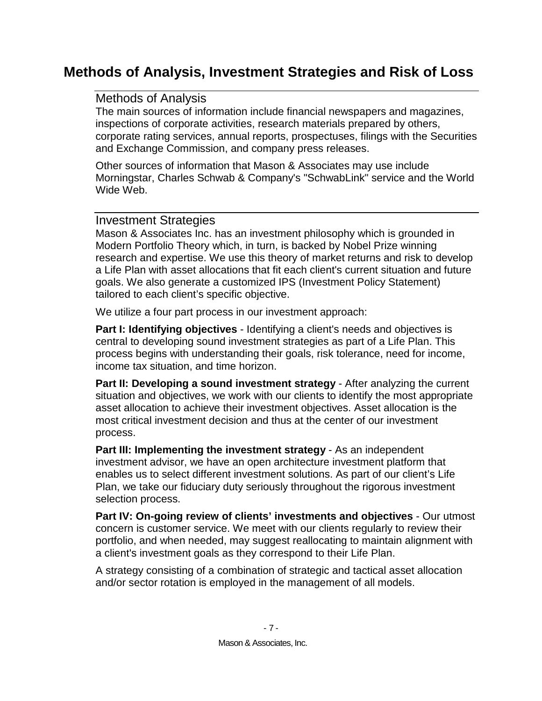## <span id="page-11-1"></span><span id="page-11-0"></span>**Methods of Analysis, Investment Strategies and Risk of Loss**

### Methods of Analysis

The main sources of information include financial newspapers and magazines, inspections of corporate activities, research materials prepared by others, corporate rating services, annual reports, prospectuses, filings with the Securities and Exchange Commission, and company press releases.

Other sources of information that Mason & Associates may use include Morningstar, Charles Schwab & Company's "SchwabLink" service and the World Wide Web.

### <span id="page-11-2"></span>Investment Strategies

Mason & Associates Inc. has an investment philosophy which is grounded in Modern Portfolio Theory which, in turn, is backed by Nobel Prize winning research and expertise. We use this theory of market returns and risk to develop a Life Plan with asset allocations that fit each client's current situation and future goals. We also generate a customized IPS (Investment Policy Statement) tailored to each client's specific objective.

We utilize a four part process in our investment approach:

**Part I: Identifying objectives** - Identifying a client's needs and objectives is central to developing sound investment strategies as part of a Life Plan. This process begins with understanding their goals, risk tolerance, need for income, income tax situation, and time horizon.

**Part II: Developing a sound investment strategy** - After analyzing the current situation and objectives, we work with our clients to identify the most appropriate asset allocation to achieve their investment objectives. Asset allocation is the most critical investment decision and thus at the center of our investment process.

**Part III: Implementing the investment strategy** - As an independent investment advisor, we have an open architecture investment platform that enables us to select different investment solutions. As part of our client's Life Plan, we take our fiduciary duty seriously throughout the rigorous investment selection process.

**Part IV: On-going review of clients' investments and objectives** - Our utmost concern is customer service. We meet with our clients regularly to review their portfolio, and when needed, may suggest reallocating to maintain alignment with a client's investment goals as they correspond to their Life Plan.

A strategy consisting of a combination of strategic and tactical asset allocation and/or sector rotation is employed in the management of all models.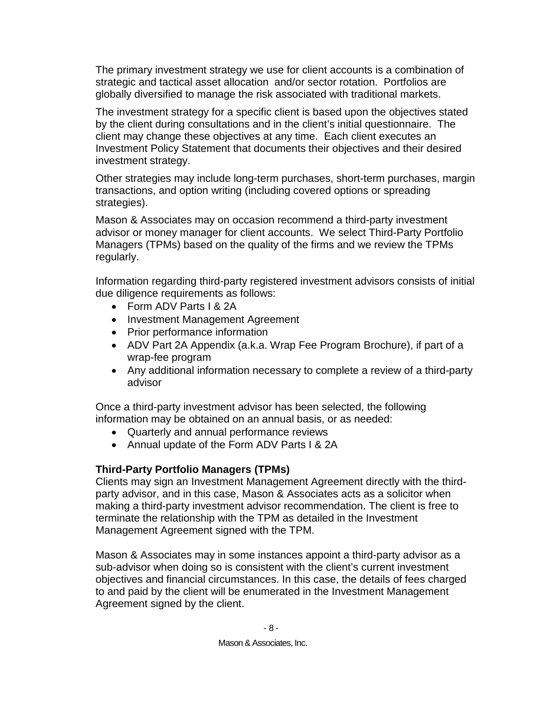The primary investment strategy we use for client accounts is a combination of strategic and tactical asset allocation and/or sector rotation. Portfolios are globally diversified to manage the risk associated with traditional markets.

The investment strategy for a specific client is based upon the objectives stated by the client during consultations and in the client's initial questionnaire. The client may change these objectives at any time. Each client executes an Investment Policy Statement that documents their objectives and their desired investment strategy.

Other strategies may include long-term purchases, short-term purchases, margin transactions, and option writing (including covered options or spreading strategies).

Mason & Associates may on occasion recommend a third-party investment advisor or money manager for client accounts. We select Third-Party Portfolio Managers (TPMs) based on the quality of the firms and we review the TPMs regularly.

Information regarding third-party registered investment advisors consists of initial due diligence requirements as follows:

- Form ADV Parts I & 2A
- Investment Management Agreement
- Prior performance information
- ADV Part 2A Appendix (a.k.a. Wrap Fee Program Brochure), if part of a wrap-fee program
- Any additional information necessary to complete a review of a third-party advisor

Once a third-party investment advisor has been selected, the following information may be obtained on an annual basis, or as needed:

- Quarterly and annual performance reviews
- Annual update of the Form ADV Parts I & 2A

### **Third-Party Portfolio Managers (TPMs)**

Clients may sign an Investment Management Agreement directly with the thirdparty advisor, and in this case, Mason & Associates acts as a solicitor when making a third-party investment advisor recommendation. The client is free to terminate the relationship with the TPM as detailed in the Investment Management Agreement signed with the TPM.

Mason & Associates may in some instances appoint a third-party advisor as a sub-advisor when doing so is consistent with the client's current investment objectives and financial circumstances. In this case, the details of fees charged to and paid by the client will be enumerated in the Investment Management Agreement signed by the client.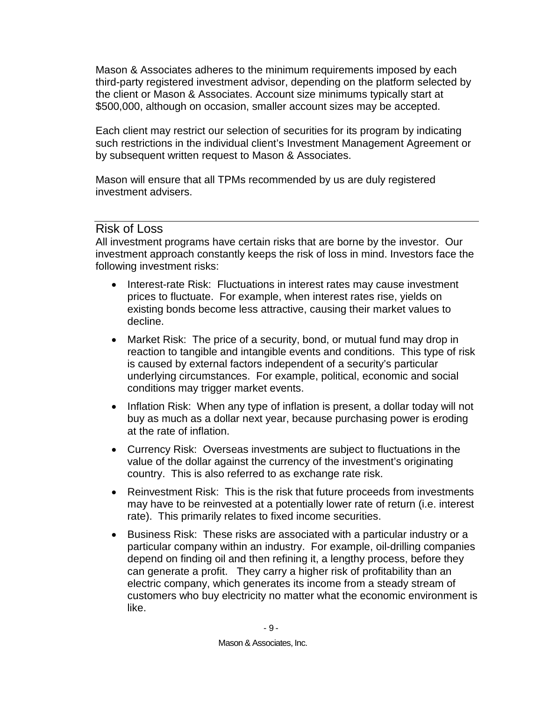Mason & Associates adheres to the minimum requirements imposed by each third-party registered investment advisor, depending on the platform selected by the client or Mason & Associates. Account size minimums typically start at \$500,000, although on occasion, smaller account sizes may be accepted.

Each client may restrict our selection of securities for its program by indicating such restrictions in the individual client's Investment Management Agreement or by subsequent written request to Mason & Associates.

Mason will ensure that all TPMs recommended by us are duly registered investment advisers.

### <span id="page-13-0"></span>Risk of Loss

All investment programs have certain risks that are borne by the investor. Our investment approach constantly keeps the risk of loss in mind. Investors face the following investment risks:

- Interest-rate Risk: Fluctuations in interest rates may cause investment prices to fluctuate. For example, when interest rates rise, yields on existing bonds become less attractive, causing their market values to decline.
- Market Risk: The price of a security, bond, or mutual fund may drop in reaction to tangible and intangible events and conditions. This type of risk is caused by external factors independent of a security's particular underlying circumstances. For example, political, economic and social conditions may trigger market events.
- Inflation Risk: When any type of inflation is present, a dollar today will not buy as much as a dollar next year, because purchasing power is eroding at the rate of inflation.
- Currency Risk: Overseas investments are subject to fluctuations in the value of the dollar against the currency of the investment's originating country. This is also referred to as exchange rate risk.
- Reinvestment Risk: This is the risk that future proceeds from investments may have to be reinvested at a potentially lower rate of return (i.e. interest rate). This primarily relates to fixed income securities.
- Business Risk: These risks are associated with a particular industry or a particular company within an industry. For example, oil-drilling companies depend on finding oil and then refining it, a lengthy process, before they can generate a profit. They carry a higher risk of profitability than an electric company, which generates its income from a steady stream of customers who buy electricity no matter what the economic environment is like.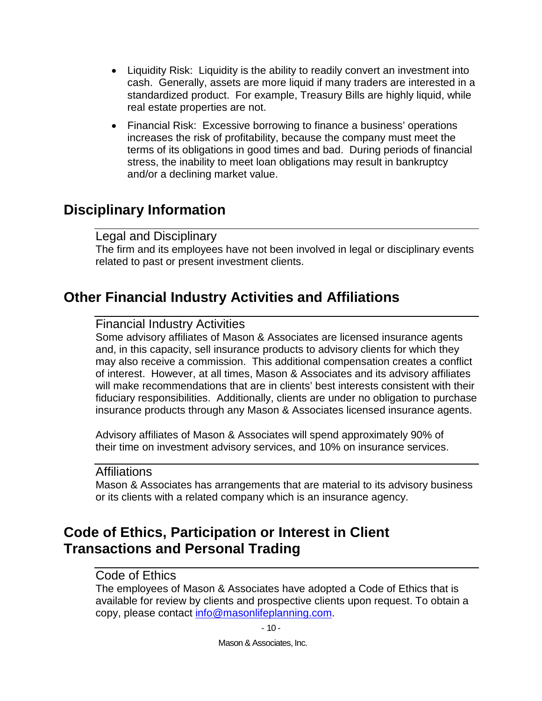- Liquidity Risk: Liquidity is the ability to readily convert an investment into cash. Generally, assets are more liquid if many traders are interested in a standardized product. For example, Treasury Bills are highly liquid, while real estate properties are not.
- Financial Risk: Excessive borrowing to finance a business' operations increases the risk of profitability, because the company must meet the terms of its obligations in good times and bad. During periods of financial stress, the inability to meet loan obligations may result in bankruptcy and/or a declining market value.

## <span id="page-14-1"></span><span id="page-14-0"></span>**Disciplinary Information**

### Legal and Disciplinary

The firm and its employees have not been involved in legal or disciplinary events related to past or present investment clients.

## <span id="page-14-3"></span><span id="page-14-2"></span>**Other Financial Industry Activities and Affiliations**

### Financial Industry Activities

Some advisory affiliates of Mason & Associates are licensed insurance agents and, in this capacity, sell insurance products to advisory clients for which they may also receive a commission. This additional compensation creates a conflict of interest. However, at all times, Mason & Associates and its advisory affiliates will make recommendations that are in clients' best interests consistent with their fiduciary responsibilities. Additionally, clients are under no obligation to purchase insurance products through any Mason & Associates licensed insurance agents.

Advisory affiliates of Mason & Associates will spend approximately 90% of their time on investment advisory services, and 10% on insurance services.

### <span id="page-14-4"></span>Affiliations

Mason & Associates has arrangements that are material to its advisory business or its clients with a related company which is an insurance agency.

## <span id="page-14-6"></span><span id="page-14-5"></span>**Code of Ethics, Participation or Interest in Client Transactions and Personal Trading**

### Code of Ethics

The employees of Mason & Associates have adopted a Code of Ethics that is available for review by clients and prospective clients upon request. To obtain a copy, please contact [info@masonlifeplanning.com.](mailto:info@masonlifeplanning.com)

 $-10-$ 

Mason & Associates, Inc.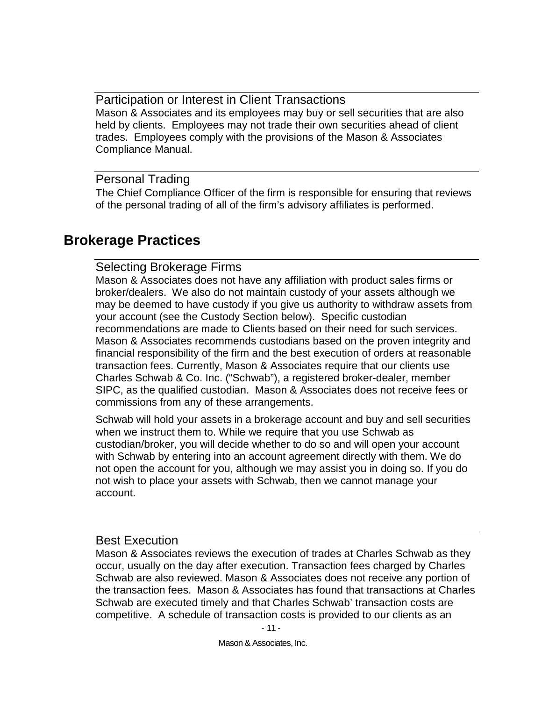<span id="page-15-0"></span>Participation or Interest in Client Transactions Mason & Associates and its employees may buy or sell securities that are also held by clients. Employees may not trade their own securities ahead of client trades. Employees comply with the provisions of the Mason & Associates Compliance Manual.

### <span id="page-15-1"></span>Personal Trading

The Chief Compliance Officer of the firm is responsible for ensuring that reviews of the personal trading of all of the firm's advisory affiliates is performed.

## <span id="page-15-3"></span><span id="page-15-2"></span>**Brokerage Practices**

### Selecting Brokerage Firms

Mason & Associates does not have any affiliation with product sales firms or broker/dealers. We also do not maintain custody of your assets although we may be deemed to have custody if you give us authority to withdraw assets from your account (see the Custody Section below). Specific custodian recommendations are made to Clients based on their need for such services. Mason & Associates recommends custodians based on the proven integrity and financial responsibility of the firm and the best execution of orders at reasonable transaction fees. Currently, Mason & Associates require that our clients use Charles Schwab & Co. Inc. ("Schwab"), a registered broker-dealer, member SIPC, as the qualified custodian. Mason & Associates does not receive fees or commissions from any of these arrangements.

Schwab will hold your assets in a brokerage account and buy and sell securities when we instruct them to. While we require that you use Schwab as custodian/broker, you will decide whether to do so and will open your account with Schwab by entering into an account agreement directly with them. We do not open the account for you, although we may assist you in doing so. If you do not wish to place your assets with Schwab, then we cannot manage your account.

### <span id="page-15-4"></span>Best Execution

Mason & Associates reviews the execution of trades at Charles Schwab as they occur, usually on the day after execution. Transaction fees charged by Charles Schwab are also reviewed. Mason & Associates does not receive any portion of the transaction fees. Mason & Associates has found that transactions at Charles Schwab are executed timely and that Charles Schwab' transaction costs are competitive. A schedule of transaction costs is provided to our clients as an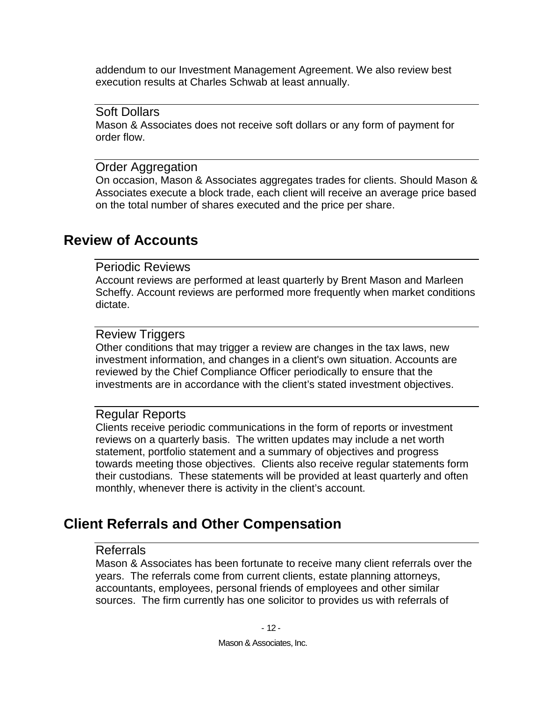addendum to our Investment Management Agreement. We also review best execution results at Charles Schwab at least annually.

#### <span id="page-16-0"></span>Soft Dollars

Mason & Associates does not receive soft dollars or any form of payment for order flow.

#### <span id="page-16-1"></span>Order Aggregation

On occasion, Mason & Associates aggregates trades for clients. Should Mason & Associates execute a block trade, each client will receive an average price based on the total number of shares executed and the price per share.

### <span id="page-16-3"></span><span id="page-16-2"></span>**Review of Accounts**

#### Periodic Reviews

Account reviews are performed at least quarterly by Brent Mason and Marleen Scheffy. Account reviews are performed more frequently when market conditions dictate.

### <span id="page-16-4"></span>Review Triggers

Other conditions that may trigger a review are changes in the tax laws, new investment information, and changes in a client's own situation. Accounts are reviewed by the Chief Compliance Officer periodically to ensure that the investments are in accordance with the client's stated investment objectives.

### <span id="page-16-5"></span>Regular Reports

Clients receive periodic communications in the form of reports or investment reviews on a quarterly basis. The written updates may include a net worth statement, portfolio statement and a summary of objectives and progress towards meeting those objectives. Clients also receive regular statements form their custodians. These statements will be provided at least quarterly and often monthly, whenever there is activity in the client's account.

## <span id="page-16-7"></span><span id="page-16-6"></span>**Client Referrals and Other Compensation**

#### Referrals

Mason & Associates has been fortunate to receive many client referrals over the years. The referrals come from current clients, estate planning attorneys, accountants, employees, personal friends of employees and other similar sources. The firm currently has one solicitor to provides us with referrals of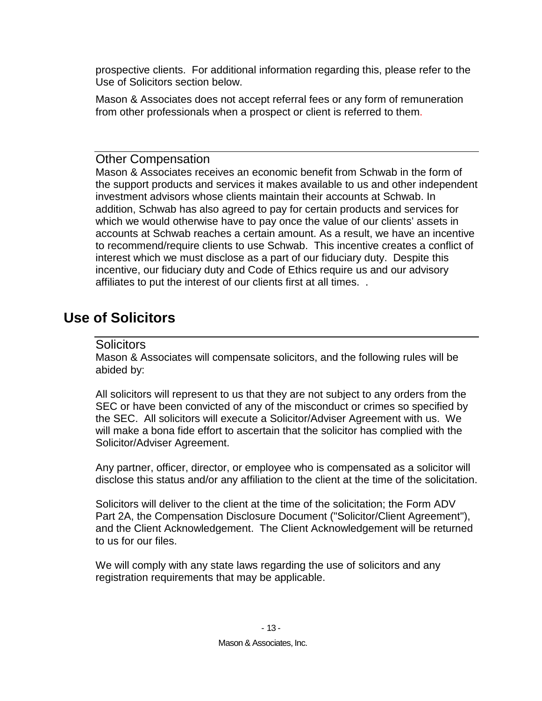prospective clients. For additional information regarding this, please refer to the Use of Solicitors section below.

Mason & Associates does not accept referral fees or any form of remuneration from other professionals when a prospect or client is referred to them.

### <span id="page-17-0"></span>Other Compensation

Mason & Associates receives an economic benefit from Schwab in the form of the support products and services it makes available to us and other independent investment advisors whose clients maintain their accounts at Schwab. In addition, Schwab has also agreed to pay for certain products and services for which we would otherwise have to pay once the value of our clients' assets in accounts at Schwab reaches a certain amount. As a result, we have an incentive to recommend/require clients to use Schwab. This incentive creates a conflict of interest which we must disclose as a part of our fiduciary duty. Despite this incentive, our fiduciary duty and Code of Ethics require us and our advisory affiliates to put the interest of our clients first at all times. .

## <span id="page-17-2"></span><span id="page-17-1"></span>**Use of Solicitors**

### Solicitors

Mason & Associates will compensate solicitors, and the following rules will be abided by:

All solicitors will represent to us that they are not subject to any orders from the SEC or have been convicted of any of the misconduct or crimes so specified by the SEC. All solicitors will execute a Solicitor/Adviser Agreement with us. We will make a bona fide effort to ascertain that the solicitor has complied with the Solicitor/Adviser Agreement.

Any partner, officer, director, or employee who is compensated as a solicitor will disclose this status and/or any affiliation to the client at the time of the solicitation.

Solicitors will deliver to the client at the time of the solicitation; the Form ADV Part 2A, the Compensation Disclosure Document ("Solicitor/Client Agreement"), and the Client Acknowledgement. The Client Acknowledgement will be returned to us for our files.

We will comply with any state laws regarding the use of solicitors and any registration requirements that may be applicable.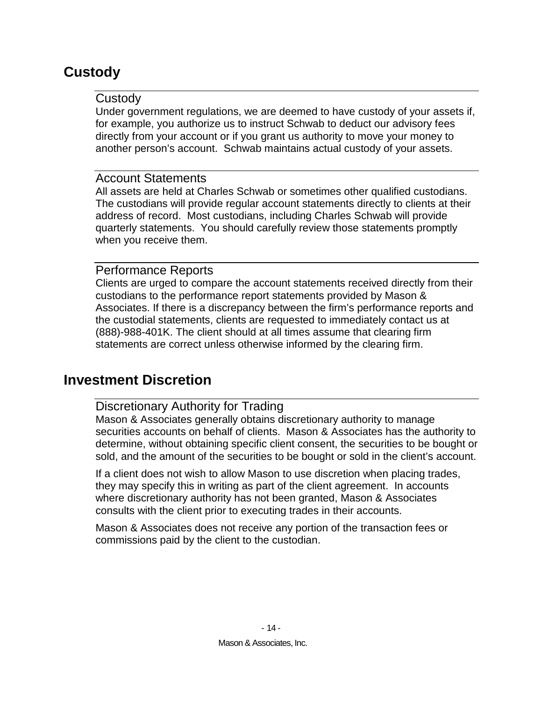## <span id="page-18-1"></span><span id="page-18-0"></span>**Custody**

### **Custody**

Under government regulations, we are deemed to have custody of your assets if, for example, you authorize us to instruct Schwab to deduct our advisory fees directly from your account or if you grant us authority to move your money to another person's account. Schwab maintains actual custody of your assets.

### <span id="page-18-2"></span>Account Statements

All assets are held at Charles Schwab or sometimes other qualified custodians. The custodians will provide regular account statements directly to clients at their address of record. Most custodians, including Charles Schwab will provide quarterly statements. You should carefully review those statements promptly when you receive them.

### <span id="page-18-3"></span>Performance Reports

Clients are urged to compare the account statements received directly from their custodians to the performance report statements provided by Mason & Associates. If there is a discrepancy between the firm's performance reports and the custodial statements, clients are requested to immediately contact us at (888)-988-401K. The client should at all times assume that clearing firm statements are correct unless otherwise informed by the clearing firm.

## <span id="page-18-5"></span><span id="page-18-4"></span>**Investment Discretion**

### Discretionary Authority for Trading

Mason & Associates generally obtains discretionary authority to manage securities accounts on behalf of clients. Mason & Associates has the authority to determine, without obtaining specific client consent, the securities to be bought or sold, and the amount of the securities to be bought or sold in the client's account.

If a client does not wish to allow Mason to use discretion when placing trades, they may specify this in writing as part of the client agreement. In accounts where discretionary authority has not been granted, Mason & Associates consults with the client prior to executing trades in their accounts.

Mason & Associates does not receive any portion of the transaction fees or commissions paid by the client to the custodian.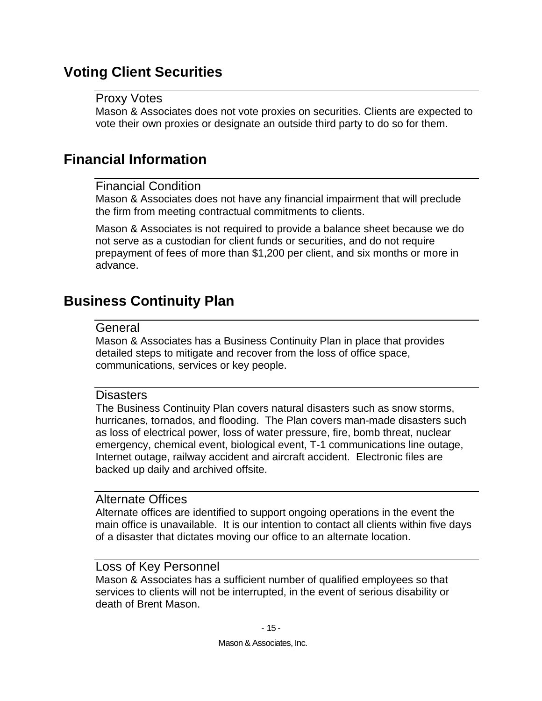## <span id="page-19-1"></span><span id="page-19-0"></span>**Voting Client Securities**

### Proxy Votes

Mason & Associates does not vote proxies on securities. Clients are expected to vote their own proxies or designate an outside third party to do so for them.

## <span id="page-19-3"></span><span id="page-19-2"></span>**Financial Information**

### Financial Condition

Mason & Associates does not have any financial impairment that will preclude the firm from meeting contractual commitments to clients.

Mason & Associates is not required to provide a balance sheet because we do not serve as a custodian for client funds or securities, and do not require prepayment of fees of more than \$1,200 per client, and six months or more in advance.

## <span id="page-19-5"></span><span id="page-19-4"></span>**Business Continuity Plan**

#### **General**

Mason & Associates has a Business Continuity Plan in place that provides detailed steps to mitigate and recover from the loss of office space, communications, services or key people.

### <span id="page-19-6"></span>**Disasters**

The Business Continuity Plan covers natural disasters such as snow storms, hurricanes, tornados, and flooding. The Plan covers man-made disasters such as loss of electrical power, loss of water pressure, fire, bomb threat, nuclear emergency, chemical event, biological event, T-1 communications line outage, Internet outage, railway accident and aircraft accident. Electronic files are backed up daily and archived offsite.

### <span id="page-19-7"></span>Alternate Offices

Alternate offices are identified to support ongoing operations in the event the main office is unavailable. It is our intention to contact all clients within five days of a disaster that dictates moving our office to an alternate location.

### <span id="page-19-8"></span>Loss of Key Personnel

Mason & Associates has a sufficient number of qualified employees so that services to clients will not be interrupted, in the event of serious disability or death of Brent Mason.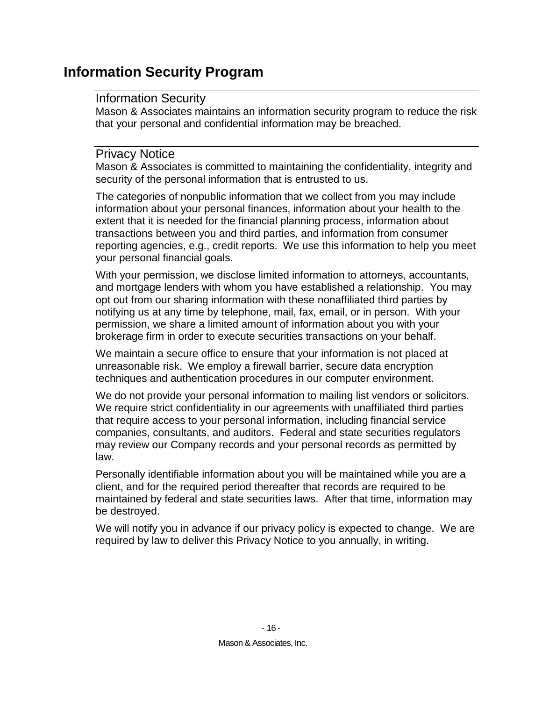## <span id="page-20-1"></span><span id="page-20-0"></span>**Information Security Program**

### Information Security

Mason & Associates maintains an information security program to reduce the risk that your personal and confidential information may be breached.

### <span id="page-20-2"></span>Privacy Notice

Mason & Associates is committed to maintaining the confidentiality, integrity and security of the personal information that is entrusted to us.

The categories of nonpublic information that we collect from you may include information about your personal finances, information about your health to the extent that it is needed for the financial planning process, information about transactions between you and third parties, and information from consumer reporting agencies, e.g., credit reports. We use this information to help you meet your personal financial goals.

With your permission, we disclose limited information to attorneys, accountants, and mortgage lenders with whom you have established a relationship. You may opt out from our sharing information with these nonaffiliated third parties by notifying us at any time by telephone, mail, fax, email, or in person. With your permission, we share a limited amount of information about you with your brokerage firm in order to execute securities transactions on your behalf.

We maintain a secure office to ensure that your information is not placed at unreasonable risk. We employ a firewall barrier, secure data encryption techniques and authentication procedures in our computer environment.

We do not provide your personal information to mailing list vendors or solicitors. We require strict confidentiality in our agreements with unaffiliated third parties that require access to your personal information, including financial service companies, consultants, and auditors. Federal and state securities regulators may review our Company records and your personal records as permitted by law.

Personally identifiable information about you will be maintained while you are a client, and for the required period thereafter that records are required to be maintained by federal and state securities laws. After that time, information may be destroyed.

We will notify you in advance if our privacy policy is expected to change. We are required by law to deliver this Privacy Notice to you annually, in writing.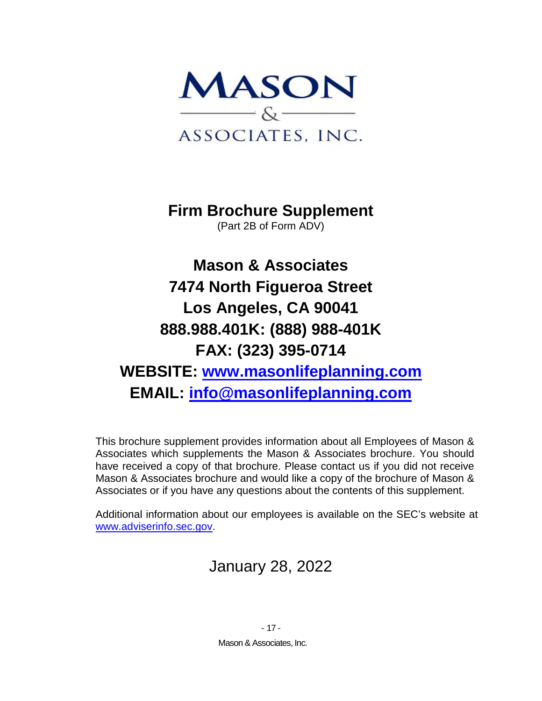

**Firm Brochure Supplement** (Part 2B of Form ADV)

**Mason & Associates 7474 North Figueroa Street Los Angeles, CA 90041 888.988.401K: (888) 988-401K FAX: (323) 395-0714 WEBSITE: [www.masonlifeplanning.com](http://www.masonlifeplanning.com/) EMAIL: [info@masonlifeplanning.com](mailto:info@masonlifeplanning.com)**

This brochure supplement provides information about all Employees of Mason & Associates which supplements the Mason & Associates brochure. You should have received a copy of that brochure. Please contact us if you did not receive Mason & Associates brochure and would like a copy of the brochure of Mason & Associates or if you have any questions about the contents of this supplement.

Additional information about our employees is available on the SEC's website at [www.adviserinfo.sec.gov.](http://www.adviserinfo.sec.gov/)

## January 28, 2022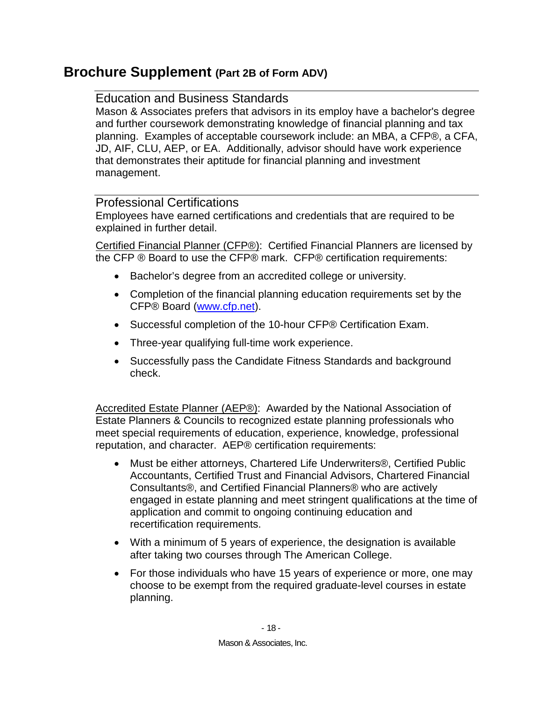## <span id="page-22-1"></span><span id="page-22-0"></span>**Brochure Supplement (Part 2B of Form ADV)**

### Education and Business Standards

Mason & Associates prefers that advisors in its employ have a bachelor's degree and further coursework demonstrating knowledge of financial planning and tax planning. Examples of acceptable coursework include: an MBA, a CFP®, a CFA, JD, AIF, CLU, AEP, or EA. Additionally, advisor should have work experience that demonstrates their aptitude for financial planning and investment management.

### <span id="page-22-2"></span>Professional Certifications

Employees have earned certifications and credentials that are required to be explained in further detail.

Certified Financial Planner (CFP®): Certified Financial Planners are licensed by the CFP ® Board to use the CFP® mark. CFP® certification requirements:

- Bachelor's degree from an accredited college or university.
- Completion of the financial planning education requirements set by the CFP® Board [\(www.cfp.net\)](http://www.cfp.net/).
- Successful completion of the 10-hour CFP® Certification Exam.
- Three-year qualifying full-time work experience.
- Successfully pass the Candidate Fitness Standards and background check.

Accredited Estate Planner (AEP®): Awarded by the National Association of Estate Planners & Councils to recognized estate planning professionals who meet special requirements of education, experience, knowledge, professional reputation, and character. AEP® certification requirements:

- Must be either attorneys, Chartered Life Underwriters®, Certified Public Accountants, Certified Trust and Financial Advisors, Chartered Financial Consultants®, and Certified Financial Planners® who are actively engaged in estate planning and meet stringent qualifications at the time of application and commit to ongoing continuing education and recertification requirements.
- With a minimum of 5 years of experience, the designation is available after taking two courses through The American College.
- For those individuals who have 15 years of experience or more, one may choose to be exempt from the required graduate-level courses in estate planning.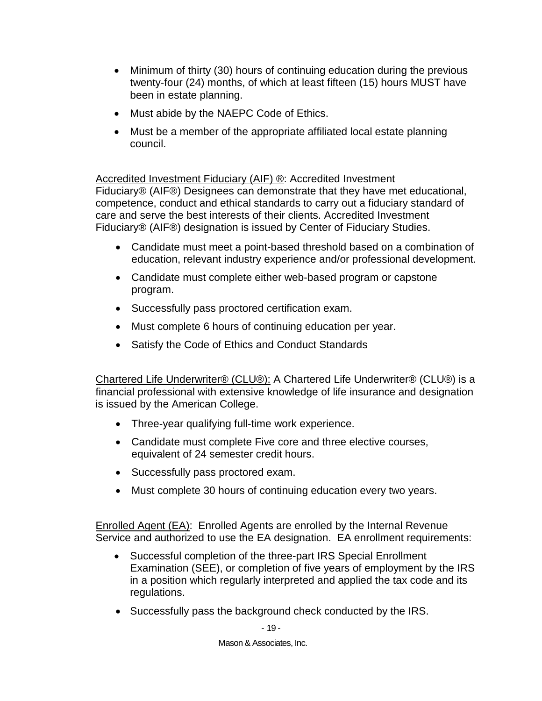- Minimum of thirty (30) hours of continuing education during the previous twenty-four (24) months, of which at least fifteen (15) hours MUST have been in estate planning.
- Must abide by the NAEPC Code of Ethics.
- Must be a member of the appropriate affiliated local estate planning council.

Accredited Investment Fiduciary (AIF) ®: Accredited Investment Fiduciary® (AIF®) Designees can demonstrate that they have met educational, competence, conduct and ethical standards to carry out a fiduciary standard of care and serve the best interests of their clients. Accredited Investment Fiduciary® (AIF®) designation is issued by Center of Fiduciary Studies.

- Candidate must meet a point-based threshold based on a combination of education, relevant industry experience and/or professional development.
- Candidate must complete either web-based program or capstone program.
- Successfully pass proctored certification exam.
- Must complete 6 hours of continuing education per year.
- Satisfy the Code of Ethics and Conduct Standards

Chartered Life Underwriter® (CLU®): A Chartered Life Underwriter® (CLU®) is a financial professional with extensive knowledge of life insurance and designation is issued by the American College.

- Three-year qualifying full-time work experience.
- Candidate must complete Five core and three elective courses, equivalent of 24 semester credit hours.
- Successfully pass proctored exam.
- Must complete 30 hours of continuing education every two years.

Enrolled Agent (EA): Enrolled Agents are enrolled by the Internal Revenue Service and authorized to use the EA designation. EA enrollment requirements:

- Successful completion of the three-part IRS Special Enrollment Examination (SEE), or completion of five years of employment by the IRS in a position which regularly interpreted and applied the tax code and its regulations.
- Successfully pass the background check conducted by the IRS.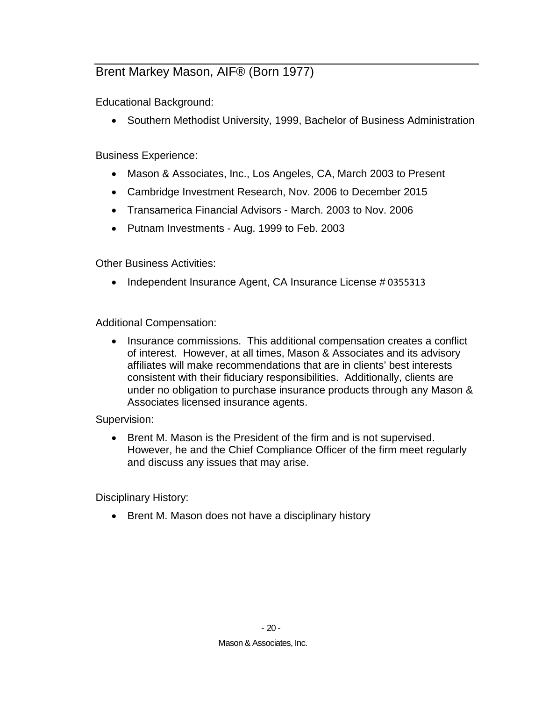## <span id="page-24-0"></span>Brent Markey Mason, AIF® (Born 1977)

Educational Background:

• Southern Methodist University, 1999, Bachelor of Business Administration

Business Experience:

- Mason & Associates, Inc., Los Angeles, CA, March 2003 to Present
- Cambridge Investment Research, Nov. 2006 to December 2015
- Transamerica Financial Advisors March. 2003 to Nov. 2006
- Putnam Investments Aug. 1999 to Feb. 2003

Other Business Activities:

• Independent Insurance Agent, CA Insurance License # 0355313

Additional Compensation:

• Insurance commissions. This additional compensation creates a conflict of interest. However, at all times, Mason & Associates and its advisory affiliates will make recommendations that are in clients' best interests consistent with their fiduciary responsibilities. Additionally, clients are under no obligation to purchase insurance products through any Mason & Associates licensed insurance agents.

#### Supervision:

• Brent M. Mason is the President of the firm and is not supervised. However, he and the Chief Compliance Officer of the firm meet regularly and discuss any issues that may arise.

Disciplinary History:

• Brent M. Mason does not have a disciplinary history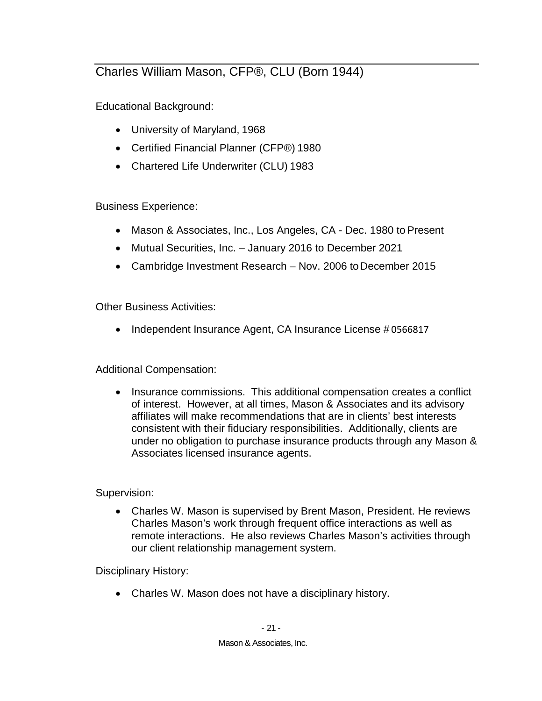## <span id="page-25-0"></span>Charles William Mason, CFP®, CLU (Born 1944)

Educational Background:

- University of Maryland, 1968
- Certified Financial Planner (CFP®) 1980
- Chartered Life Underwriter (CLU) 1983

Business Experience:

- Mason & Associates, Inc., Los Angeles, CA Dec. 1980 to Present
- Mutual Securities, Inc. January 2016 to December 2021
- Cambridge Investment Research Nov. 2006 to December 2015

Other Business Activities:

• Independent Insurance Agent, CA Insurance License #0566817

Additional Compensation:

• Insurance commissions. This additional compensation creates a conflict of interest. However, at all times, Mason & Associates and its advisory affiliates will make recommendations that are in clients' best interests consistent with their fiduciary responsibilities. Additionally, clients are under no obligation to purchase insurance products through any Mason & Associates licensed insurance agents.

Supervision:

• Charles W. Mason is supervised by Brent Mason, President. He reviews Charles Mason's work through frequent office interactions as well as remote interactions. He also reviews Charles Mason's activities through our client relationship management system.

Disciplinary History:

• Charles W. Mason does not have a disciplinary history.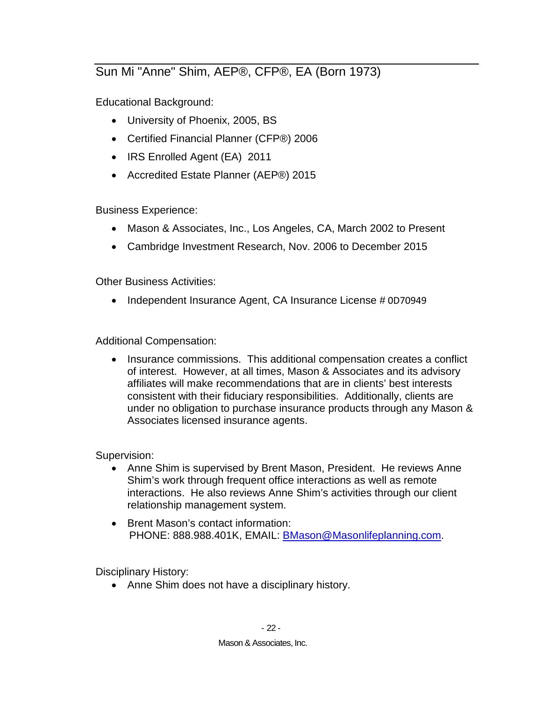## <span id="page-26-0"></span>Sun Mi "Anne" Shim, AEP®, CFP®, EA (Born 1973)

Educational Background:

- University of Phoenix, 2005, BS
- Certified Financial Planner (CFP®) 2006
- IRS Enrolled Agent (EA) 2011
- Accredited Estate Planner (AEP®) 2015

Business Experience:

- Mason & Associates, Inc., Los Angeles, CA, March 2002 to Present
- Cambridge Investment Research, Nov. 2006 to December 2015

Other Business Activities:

• Independent Insurance Agent, CA Insurance License #0D70949

Additional Compensation:

• Insurance commissions. This additional compensation creates a conflict of interest. However, at all times, Mason & Associates and its advisory affiliates will make recommendations that are in clients' best interests consistent with their fiduciary responsibilities. Additionally, clients are under no obligation to purchase insurance products through any Mason & Associates licensed insurance agents.

Supervision:

- Anne Shim is supervised by Brent Mason, President. He reviews Anne Shim's work through frequent office interactions as well as remote interactions. He also reviews Anne Shim's activities through our client relationship management system.
- Brent Mason's contact information: PHONE: 888.988.401K, EMAIL: **BMason@Masonlifeplanning.com.**

Disciplinary History:

• Anne Shim does not have a disciplinary history.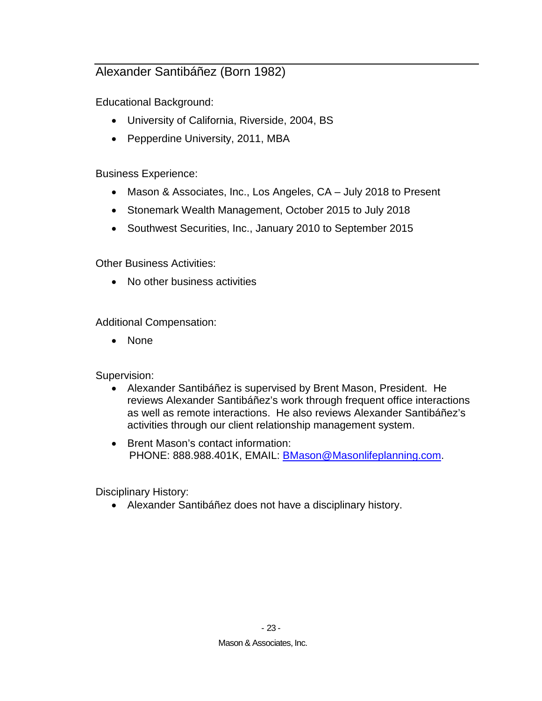## <span id="page-27-0"></span>Alexander Santibáñez (Born 1982)

Educational Background:

- University of California, Riverside, 2004, BS
- Pepperdine University, 2011, MBA

Business Experience:

- Mason & Associates, Inc., Los Angeles, CA July 2018 to Present
- Stonemark Wealth Management, October 2015 to July 2018
- Southwest Securities, Inc., January 2010 to September 2015

Other Business Activities:

• No other business activities

Additional Compensation:

• None

Supervision:

- Alexander Santibáñez is supervised by Brent Mason, President. He reviews Alexander Santibáñez's work through frequent office interactions as well as remote interactions. He also reviews Alexander Santibáñez's activities through our client relationship management system.
- Brent Mason's contact information: PHONE: 888.988.401K, EMAIL: [BMason@Masonlifeplanning.com.](mailto:BMason@Masonlifeplanning.com)

Disciplinary History:

• Alexander Santibáñez does not have a disciplinary history.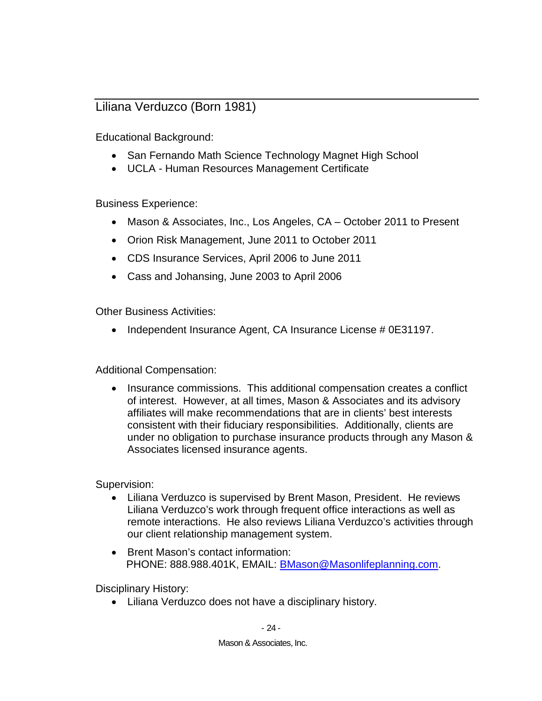### <span id="page-28-0"></span>Liliana Verduzco (Born 1981)

Educational Background:

- San Fernando Math Science Technology Magnet High School
- UCLA Human Resources Management Certificate

Business Experience:

- Mason & Associates, Inc., Los Angeles, CA October 2011 to Present
- Orion Risk Management, June 2011 to October 2011
- CDS Insurance Services, April 2006 to June 2011
- Cass and Johansing, June 2003 to April 2006

Other Business Activities:

• Independent Insurance Agent, CA Insurance License # 0E31197.

Additional Compensation:

• Insurance commissions. This additional compensation creates a conflict of interest. However, at all times, Mason & Associates and its advisory affiliates will make recommendations that are in clients' best interests consistent with their fiduciary responsibilities. Additionally, clients are under no obligation to purchase insurance products through any Mason & Associates licensed insurance agents.

Supervision:

- Liliana Verduzco is supervised by Brent Mason, President. He reviews Liliana Verduzco's work through frequent office interactions as well as remote interactions. He also reviews Liliana Verduzco's activities through our client relationship management system.
- Brent Mason's contact information: PHONE: 888.988.401K, EMAIL: **BMason@Masonlifeplanning.com.**

Disciplinary History:

• Liliana Verduzco does not have a disciplinary history.

 $-24-$ 

Mason & Associates, Inc.